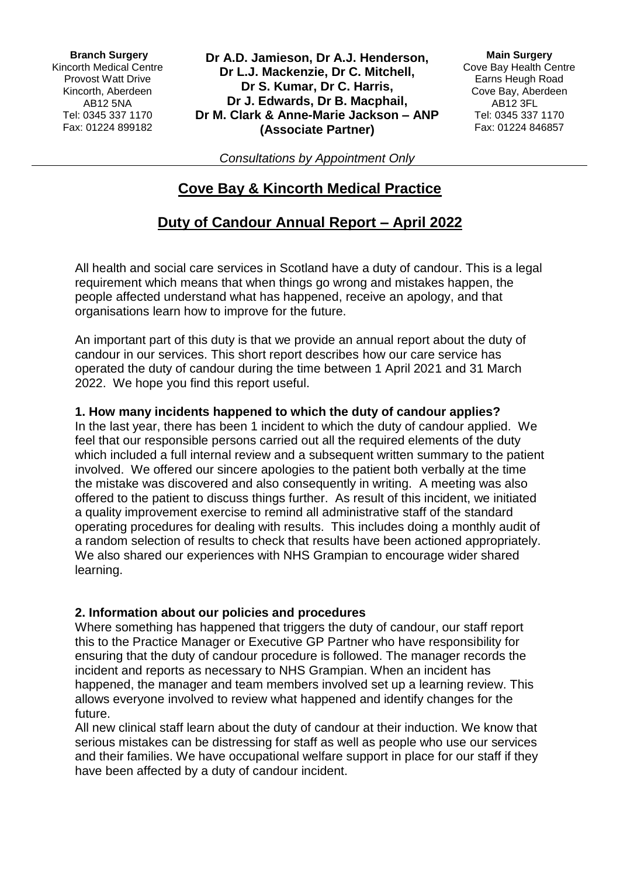**Branch Surgery** Kincorth Medical Centre Provost Watt Drive Kincorth, Aberdeen AB12 5NA Tel: 0345 337 1170 Fax: 01224 899182

**Dr A.D. Jamieson, Dr A.J. Henderson, Dr L.J. Mackenzie, Dr C. Mitchell, Dr S. Kumar, Dr C. Harris, Dr J. Edwards, Dr B. Macphail, Dr M. Clark & Anne-Marie Jackson – ANP (Associate Partner)**

**Main Surgery** Cove Bay Health Centre Earns Heugh Road Cove Bay, Aberdeen AB12 3FL Tel: 0345 337 1170 Fax: 01224 846857

*Consultations by Appointment Only*

# **Cove Bay & Kincorth Medical Practice**

# **Duty of Candour Annual Report – April 2022**

All health and social care services in Scotland have a duty of candour. This is a legal requirement which means that when things go wrong and mistakes happen, the people affected understand what has happened, receive an apology, and that organisations learn how to improve for the future.

An important part of this duty is that we provide an annual report about the duty of candour in our services. This short report describes how our care service has operated the duty of candour during the time between 1 April 2021 and 31 March 2022. We hope you find this report useful.

### **1. How many incidents happened to which the duty of candour applies?**

In the last year, there has been 1 incident to which the duty of candour applied. We feel that our responsible persons carried out all the required elements of the duty which included a full internal review and a subsequent written summary to the patient involved. We offered our sincere apologies to the patient both verbally at the time the mistake was discovered and also consequently in writing. A meeting was also offered to the patient to discuss things further. As result of this incident, we initiated a quality improvement exercise to remind all administrative staff of the standard operating procedures for dealing with results. This includes doing a monthly audit of a random selection of results to check that results have been actioned appropriately. We also shared our experiences with NHS Grampian to encourage wider shared learning.

#### **2. Information about our policies and procedures**

Where something has happened that triggers the duty of candour, our staff report this to the Practice Manager or Executive GP Partner who have responsibility for ensuring that the duty of candour procedure is followed. The manager records the incident and reports as necessary to NHS Grampian. When an incident has happened, the manager and team members involved set up a learning review. This allows everyone involved to review what happened and identify changes for the future.

All new clinical staff learn about the duty of candour at their induction. We know that serious mistakes can be distressing for staff as well as people who use our services and their families. We have occupational welfare support in place for our staff if they have been affected by a duty of candour incident.